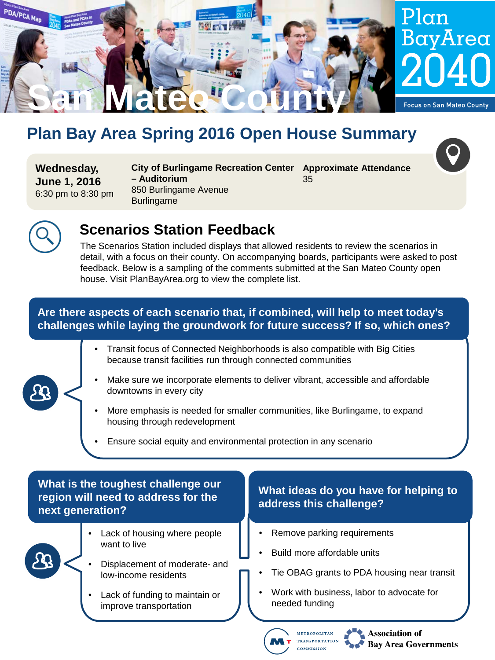

# **Plan Bay Area Spring 2016 Open House Summary**

**Wednesday, June 1, 2016** 6:30 pm to 8:30 pm

**City of Burlingame Recreation Center Approximate Attendance – Auditorium** 850 Burlingame Avenue Burlingame

35





# **Scenarios Station Feedback**

The Scenarios Station included displays that allowed residents to review the scenarios in detail, with a focus on their county. On accompanying boards, participants were asked to post feedback. Below is a sampling of the comments submitted at the San Mateo County open house. Visit PlanBayArea.org to view the complete list.

### **Are there aspects of each scenario that, if combined, will help to meet today's challenges while laying the groundwork for future success? If so, which ones?**

- Transit focus of Connected Neighborhoods is also compatible with Big Cities because transit facilities run through connected communities
- 
- Make sure we incorporate elements to deliver vibrant, accessible and affordable downtowns in every city
- More emphasis is needed for smaller communities, like Burlingame, to expand housing through redevelopment
- Ensure social equity and environmental protection in any scenario

### **What is the toughest challenge our region will need to address for the next generation?**

- 
- Lack of housing where people want to live
- Displacement of moderate- and low-income residents
- Lack of funding to maintain or improve transportation

### **What ideas do you have for helping to address this challenge?**

- Remove parking requirements
- Build more affordable units

**COMMISSION** 

- Tie OBAG grants to PDA housing near transit
- Work with business, labor to advocate for needed funding



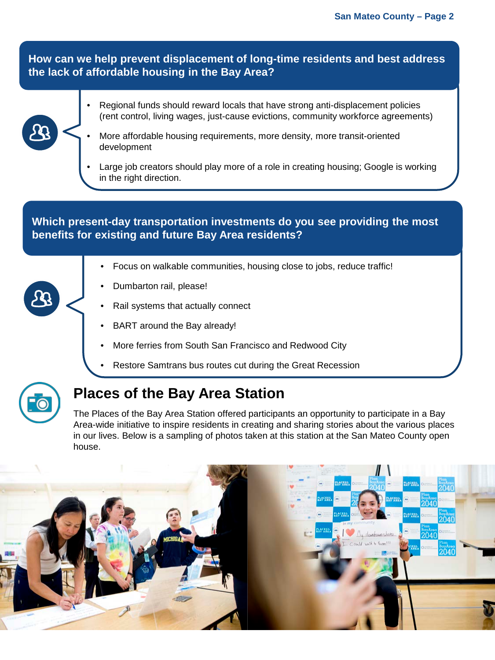#### **How can we help prevent displacement of long-time residents and best address the lack of affordable housing in the Bay Area?**

• Regional funds should reward locals that have strong anti-displacement policies (rent control, living wages, just-cause evictions, community workforce agreements)



- More affordable housing requirements, more density, more transit-oriented development
- Large job creators should play more of a role in creating housing; Google is working in the right direction.

### **Which present-day transportation investments do you see providing the most benefits for existing and future Bay Area residents?**

- Focus on walkable communities, housing close to jobs, reduce traffic!
- Dumbarton rail, please!
- Rail systems that actually connect
- BART around the Bay already!
- More ferries from South San Francisco and Redwood City
- Restore Samtrans bus routes cut during the Great Recession



# **Places of the Bay Area Station**

The Places of the Bay Area Station offered participants an opportunity to participate in a Bay Area-wide initiative to inspire residents in creating and sharing stories about the various places in our lives. Below is a sampling of photos taken at this station at the San Mateo County open house.

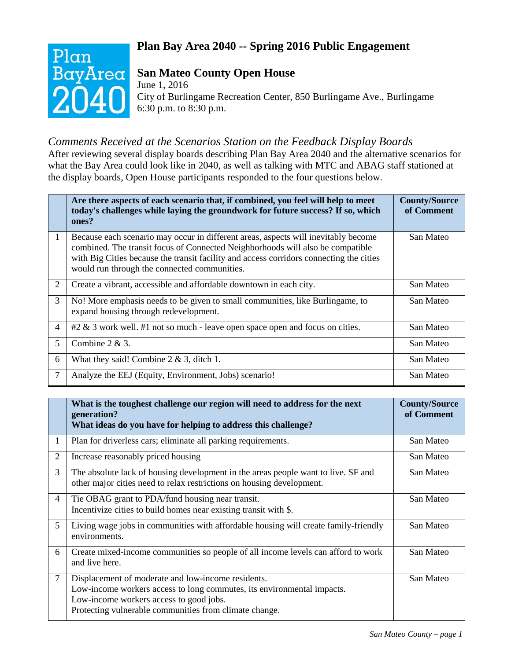### **Plan Bay Area 2040 -- Spring 2016 Public Engagement**



### **San Mateo County Open House**

June 1, 2016 City of Burlingame Recreation Center, 850 Burlingame Ave., Burlingame 6:30 p.m. to 8:30 p.m.

### *Comments Received at the Scenarios Station on the Feedback Display Boards*

After reviewing several display boards describing Plan Bay Area 2040 and the alternative scenarios for what the Bay Area could look like in 2040, as well as talking with MTC and ABAG staff stationed at the display boards, Open House participants responded to the four questions below.

|                | Are there aspects of each scenario that, if combined, you feel will help to meet<br>today's challenges while laying the groundwork for future success? If so, which<br>ones?                                                                                                                                    | <b>County/Source</b><br>of Comment |
|----------------|-----------------------------------------------------------------------------------------------------------------------------------------------------------------------------------------------------------------------------------------------------------------------------------------------------------------|------------------------------------|
| 1              | Because each scenario may occur in different areas, aspects will inevitably become<br>combined. The transit focus of Connected Neighborhoods will also be compatible<br>with Big Cities because the transit facility and access corridors connecting the cities<br>would run through the connected communities. | San Mateo                          |
| 2              | Create a vibrant, accessible and affordable downtown in each city.                                                                                                                                                                                                                                              | San Mateo                          |
| 3              | No! More emphasis needs to be given to small communities, like Burlingame, to<br>expand housing through redevelopment.                                                                                                                                                                                          | San Mateo                          |
| 4              | $#2 \& 3$ work well. #1 not so much - leave open space open and focus on cities.                                                                                                                                                                                                                                | San Mateo                          |
| 5              | Combine $2 & 3$ .                                                                                                                                                                                                                                                                                               | San Mateo                          |
| 6              | What they said! Combine $2 \& 3$ , ditch 1.                                                                                                                                                                                                                                                                     | San Mateo                          |
| $\overline{7}$ | Analyze the EEJ (Equity, Environment, Jobs) scenario!                                                                                                                                                                                                                                                           | San Mateo                          |

|                | What is the toughest challenge our region will need to address for the next<br>generation?<br>What ideas do you have for helping to address this challenge?                                                                       | <b>County/Source</b><br>of Comment |
|----------------|-----------------------------------------------------------------------------------------------------------------------------------------------------------------------------------------------------------------------------------|------------------------------------|
| $\mathbf{1}$   | Plan for driverless cars; eliminate all parking requirements.                                                                                                                                                                     | San Mateo                          |
| 2              | Increase reasonably priced housing                                                                                                                                                                                                | San Mateo                          |
| 3              | The absolute lack of housing development in the areas people want to live. SF and<br>other major cities need to relax restrictions on housing development.                                                                        | San Mateo                          |
| 4              | Tie OBAG grant to PDA/fund housing near transit.<br>Incentivize cities to build homes near existing transit with \$.                                                                                                              | San Mateo                          |
| 5 <sup>5</sup> | Living wage jobs in communities with affordable housing will create family-friendly<br>environments.                                                                                                                              | San Mateo                          |
| 6              | Create mixed-income communities so people of all income levels can afford to work<br>and live here.                                                                                                                               | San Mateo                          |
| $\overline{7}$ | Displacement of moderate and low-income residents.<br>Low-income workers access to long commutes, its environmental impacts.<br>Low-income workers access to good jobs.<br>Protecting vulnerable communities from climate change. | San Mateo                          |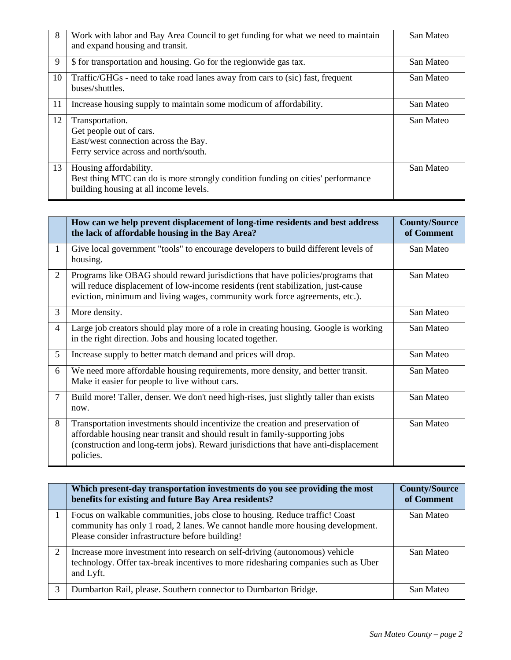| 8  | Work with labor and Bay Area Council to get funding for what we need to maintain<br>and expand housing and transit.                                 | San Mateo |
|----|-----------------------------------------------------------------------------------------------------------------------------------------------------|-----------|
| 9  | \$ for transportation and housing. Go for the regionwide gas tax.                                                                                   | San Mateo |
| 10 | Traffic/GHGs - need to take road lanes away from cars to (sic) <u>fast</u> , frequent<br>buses/shuttles.                                            | San Mateo |
| 11 | Increase housing supply to maintain some modicum of affordability.                                                                                  | San Mateo |
| 12 | Transportation.<br>Get people out of cars.<br>East/west connection across the Bay.<br>Ferry service across and north/south.                         | San Mateo |
| 13 | Housing affordability.<br>Best thing MTC can do is more strongly condition funding on cities' performance<br>building housing at all income levels. | San Mateo |

|                | How can we help prevent displacement of long-time residents and best address<br>the lack of affordable housing in the Bay Area?                                                                                                                                   | <b>County/Source</b><br>of Comment |
|----------------|-------------------------------------------------------------------------------------------------------------------------------------------------------------------------------------------------------------------------------------------------------------------|------------------------------------|
| $\mathbf{1}$   | Give local government "tools" to encourage developers to build different levels of<br>housing.                                                                                                                                                                    | San Mateo                          |
| $\overline{2}$ | Programs like OBAG should reward jurisdictions that have policies/programs that<br>will reduce displacement of low-income residents (rent stabilization, just-cause<br>eviction, minimum and living wages, community work force agreements, etc.).                | San Mateo                          |
| 3              | More density.                                                                                                                                                                                                                                                     | San Mateo                          |
| $\overline{4}$ | Large job creators should play more of a role in creating housing. Google is working<br>in the right direction. Jobs and housing located together.                                                                                                                | San Mateo                          |
| 5 <sup>5</sup> | Increase supply to better match demand and prices will drop.                                                                                                                                                                                                      | San Mateo                          |
| 6              | We need more affordable housing requirements, more density, and better transit.<br>Make it easier for people to live without cars.                                                                                                                                | San Mateo                          |
| $\tau$         | Build more! Taller, denser. We don't need high-rises, just slightly taller than exists<br>now.                                                                                                                                                                    | San Mateo                          |
| 8              | Transportation investments should incentivize the creation and preservation of<br>affordable housing near transit and should result in family-supporting jobs<br>(construction and long-term jobs). Reward jurisdictions that have anti-displacement<br>policies. | San Mateo                          |

|   | Which present-day transportation investments do you see providing the most<br>benefits for existing and future Bay Area residents?                                                                               | <b>County/Source</b><br>of Comment |
|---|------------------------------------------------------------------------------------------------------------------------------------------------------------------------------------------------------------------|------------------------------------|
|   | Focus on walkable communities, jobs close to housing. Reduce traffic! Coast<br>community has only 1 road, 2 lanes. We cannot handle more housing development.<br>Please consider infrastructure before building! | San Mateo                          |
| 2 | Increase more investment into research on self-driving (autonomous) vehicle<br>technology. Offer tax-break incentives to more ridesharing companies such as Uber<br>and Lyft.                                    | San Mateo                          |
| 3 | Dumbarton Rail, please. Southern connector to Dumbarton Bridge.                                                                                                                                                  | San Mateo                          |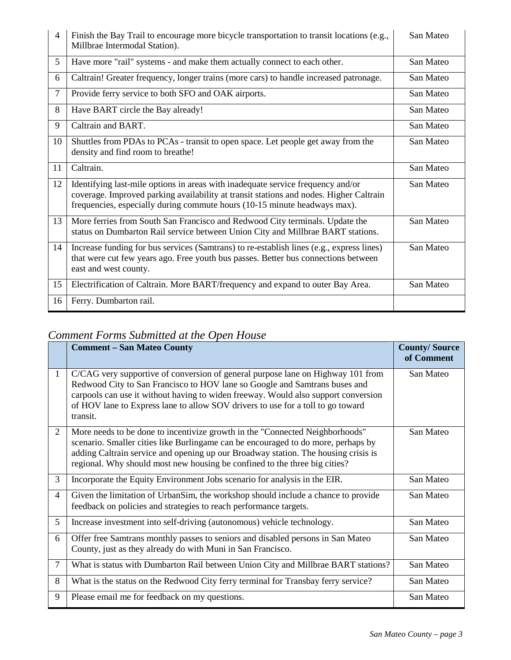| $\overline{4}$ | Finish the Bay Trail to encourage more bicycle transportation to transit locations (e.g.,<br>Millbrae Intermodal Station).                                                                                                                             | San Mateo |
|----------------|--------------------------------------------------------------------------------------------------------------------------------------------------------------------------------------------------------------------------------------------------------|-----------|
| 5              | Have more "rail" systems - and make them actually connect to each other.                                                                                                                                                                               | San Mateo |
| 6              | Caltrain! Greater frequency, longer trains (more cars) to handle increased patronage.                                                                                                                                                                  | San Mateo |
| $\overline{7}$ | Provide ferry service to both SFO and OAK airports.                                                                                                                                                                                                    | San Mateo |
| 8              | Have BART circle the Bay already!                                                                                                                                                                                                                      | San Mateo |
| 9              | Caltrain and BART.                                                                                                                                                                                                                                     | San Mateo |
| 10             | Shuttles from PDAs to PCAs - transit to open space. Let people get away from the<br>density and find room to breathe!                                                                                                                                  | San Mateo |
| 11             | Caltrain.                                                                                                                                                                                                                                              | San Mateo |
| 12             | Identifying last-mile options in areas with inadequate service frequency and/or<br>coverage. Improved parking availability at transit stations and nodes. Higher Caltrain<br>frequencies, especially during commute hours (10-15 minute headways max). | San Mateo |
| 13             | More ferries from South San Francisco and Redwood City terminals. Update the<br>status on Dumbarton Rail service between Union City and Millbrae BART stations.                                                                                        | San Mateo |
| 14             | Increase funding for bus services (Samtrans) to re-establish lines (e.g., express lines)<br>that were cut few years ago. Free youth bus passes. Better bus connections between<br>east and west county.                                                | San Mateo |
| 15             | Electrification of Caltrain. More BART/frequency and expand to outer Bay Area.                                                                                                                                                                         | San Mateo |
| 16             | Ferry. Dumbarton rail.                                                                                                                                                                                                                                 |           |

# *Comment Forms Submitted at the Open House*

|        | <b>Comment - San Mateo County</b>                                                                                                                                                                                                                                                                                                                  | <b>County/Source</b><br>of Comment |
|--------|----------------------------------------------------------------------------------------------------------------------------------------------------------------------------------------------------------------------------------------------------------------------------------------------------------------------------------------------------|------------------------------------|
| 1      | C/CAG very supportive of conversion of general purpose lane on Highway 101 from<br>Redwood City to San Francisco to HOV lane so Google and Samtrans buses and<br>carpools can use it without having to widen freeway. Would also support conversion<br>of HOV lane to Express lane to allow SOV drivers to use for a toll to go toward<br>transit. | San Mateo                          |
| 2      | More needs to be done to incentivize growth in the "Connected Neighborhoods"<br>scenario. Smaller cities like Burlingame can be encouraged to do more, perhaps by<br>adding Caltrain service and opening up our Broadway station. The housing crisis is<br>regional. Why should most new housing be confined to the three big cities?              | San Mateo                          |
| 3      | Incorporate the Equity Environment Jobs scenario for analysis in the EIR.                                                                                                                                                                                                                                                                          | San Mateo                          |
| 4      | Given the limitation of UrbanSim, the workshop should include a chance to provide<br>feedback on policies and strategies to reach performance targets.                                                                                                                                                                                             | San Mateo                          |
| 5      | Increase investment into self-driving (autonomous) vehicle technology.                                                                                                                                                                                                                                                                             | San Mateo                          |
| 6      | Offer free Samtrans monthly passes to seniors and disabled persons in San Mateo<br>County, just as they already do with Muni in San Francisco.                                                                                                                                                                                                     | San Mateo                          |
| $\tau$ | What is status with Dumbarton Rail between Union City and Millbrae BART stations?                                                                                                                                                                                                                                                                  | San Mateo                          |
| 8      | What is the status on the Redwood City ferry terminal for Transbay ferry service?                                                                                                                                                                                                                                                                  | San Mateo                          |
| 9      | Please email me for feedback on my questions.                                                                                                                                                                                                                                                                                                      | San Mateo                          |